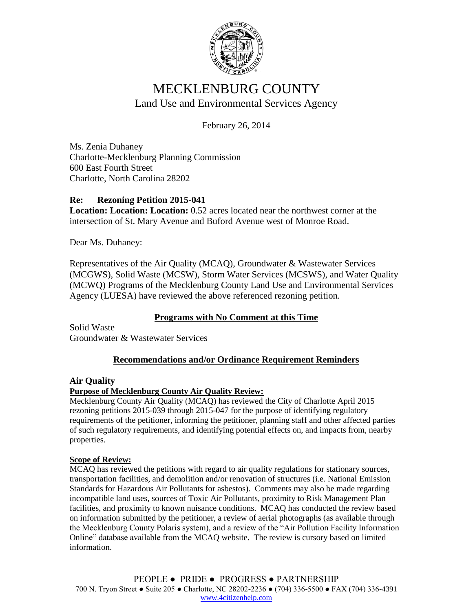

# MECKLENBURG COUNTY Land Use and Environmental Services Agency

February 26, 2014

Ms. Zenia Duhaney Charlotte-Mecklenburg Planning Commission 600 East Fourth Street Charlotte, North Carolina 28202

# **Re: Rezoning Petition 2015-041**

**Location: Location: Location:** 0.52 acres located near the northwest corner at the intersection of St. Mary Avenue and Buford Avenue west of Monroe Road.

Dear Ms. Duhaney:

Representatives of the Air Quality (MCAQ), Groundwater & Wastewater Services (MCGWS), Solid Waste (MCSW), Storm Water Services (MCSWS), and Water Quality (MCWQ) Programs of the Mecklenburg County Land Use and Environmental Services Agency (LUESA) have reviewed the above referenced rezoning petition.

# **Programs with No Comment at this Time**

Solid Waste Groundwater & Wastewater Services

# **Recommendations and/or Ordinance Requirement Reminders**

# **Air Quality**

#### **Purpose of Mecklenburg County Air Quality Review:**

Mecklenburg County Air Quality (MCAQ) has reviewed the City of Charlotte April 2015 rezoning petitions 2015-039 through 2015-047 for the purpose of identifying regulatory requirements of the petitioner, informing the petitioner, planning staff and other affected parties of such regulatory requirements, and identifying potential effects on, and impacts from, nearby properties.

#### **Scope of Review:**

MCAQ has reviewed the petitions with regard to air quality regulations for stationary sources, transportation facilities, and demolition and/or renovation of structures (i.e. National Emission Standards for Hazardous Air Pollutants for asbestos). Comments may also be made regarding incompatible land uses, sources of Toxic Air Pollutants, proximity to Risk Management Plan facilities, and proximity to known nuisance conditions. MCAQ has conducted the review based on information submitted by the petitioner, a review of aerial photographs (as available through the Mecklenburg County Polaris system), and a review of the "Air Pollution Facility Information Online" database available from the MCAQ website. The review is cursory based on limited information.